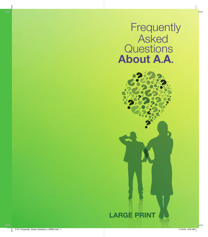**Frequently Asked Questions** About A.A.

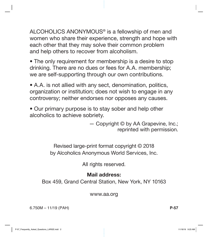ALCOHOLICS ANONYMOUS® is a fellowship of men and women who share their experience, strength and hope with each other that they may solve their common problem and help others to recover from alcoholism.

• The only requirement for membership is a desire to stop drinking. There are no dues or fees for A.A. membership; we are self-supporting through our own contributions.

• A.A. is not allied with any sect, denomination, politics, organization or institution; does not wish to engage in any controversy; neither endorses nor opposes any causes.

• Our primary purpose is to stay sober and help other alcoholics to achieve sobriety.

> — Copyright © by AA Grapevine, Inc.; reprinted with permission.

Revised large-print format copyright © 2018 by Alcoholics Anonymous World Services, Inc.

All rights reserved.

#### Mail address:

Box 459, Grand Central Station, New York, NY 10163

www.aa.org

6.750M – 11/19 (PAH) **P-57**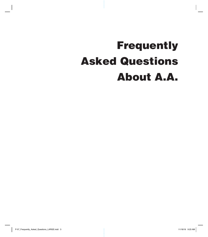# Frequently Asked Questions About A.A.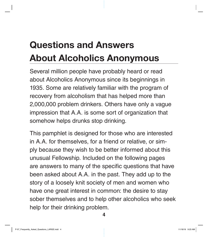## Questions and Answers About Alcoholics Anonymous

Several million people have probably heard or read about Alcoholics Anonymous since its beginnings in 1935. Some are relatively familiar with the program of recovery from alcoholism that has helped more than 2,000,000 problem drinkers. Others have only a vague impression that A.A. is some sort of organization that somehow helps drunks stop drinking.

This pamphlet is designed for those who are interested in A.A. for themselves, for a friend or relative, or simply because they wish to be better informed about this unusual Fellowship. Included on the following pages are answers to many of the specific questions that have been asked about A.A. in the past. They add up to the story of a loosely knit society of men and women who have one great interest in common: the desire to stay sober themselves and to help other alcoholics who seek help for their drinking problem.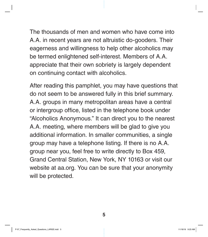The thousands of men and women who have come into A.A. in recent years are not altruistic do-gooders. Their eagerness and willingness to help other alcoholics may be termed enlightened self-interest. Members of A.A. appreciate that their own sobriety is largely dependent on continuing contact with alcoholics.

After reading this pamphlet, you may have questions that do not seem to be answered fully in this brief summary. A.A. groups in many metropolitan areas have a central or intergroup office, listed in the telephone book under "Alcoholics Anonymous." It can direct you to the nearest A.A. meeting, where members will be glad to give you additional information. In smaller communities, a single group may have a telephone listing. If there is no A.A. group near you, feel free to write directly to Box 459, Grand Central Station, New York, NY 10163 or visit our website at aa.org. You can be sure that your anonymity will be protected.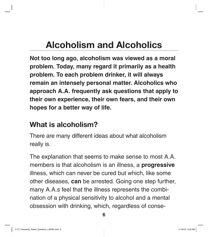## Alcoholism and Alcoholics

**Not too long ago, alcoholism was viewed as a moral problem. Today, many regard it primarily as a health problem. To each problem drinker, it will always remain an intensely personal matter. Alcoholics who approach A.A. frequently ask questions that apply to their own experience, their own fears, and their own hopes for a better way of life.**

#### What is alcoholism?

There are many different ideas about what alcoholism really is.

The explanation that seems to make sense to most A.A. members is that alcoholism is an illness, a **progressive**  illness, which can never be cured but which, like some other diseases, **can** be arrested. Going one step further, many A.A.s feel that the illness represents the combination of a physical sensitivity to alcohol and a mental obsession with drinking, which, regardless of conse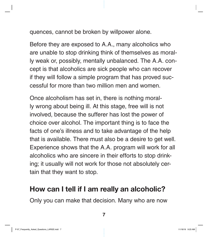quences, cannot be broken by willpower alone.

Before they are exposed to A.A., many alcoholics who are unable to stop drinking think of themselves as morally weak or, possibly, mentally unbalanced. The A.A. concept is that alcoholics are sick people who can recover if they will follow a simple program that has proved successful for more than two million men and women.

Once alcoholism has set in, there is nothing morally wrong about being ill. At this stage, free will is not involved, because the sufferer has lost the power of choice over alcohol. The important thing is to face the facts of one's illness and to take advantage of the help that is available. There must also be a desire to get well. Experience shows that the A.A. program will work for all alcoholics who are sincere in their efforts to stop drinking; it usually will not work for those not absolutely certain that they want to stop.

#### How can I tell if I am really an alcoholic?

Only you can make that decision. Many who are now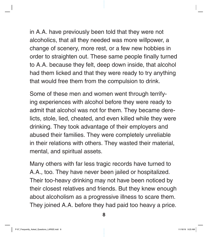in A.A. have previously been told that they were not alcoholics, that all they needed was more willpower, a change of scenery, more rest, or a few new hobbies in order to straighten out. These same people finally turned to A.A. because they felt, deep down inside, that alcohol had them licked and that they were ready to try anything that would free them from the compulsion to drink.

Some of these men and women went through terrifying experiences with alcohol before they were ready to admit that alcohol was not for them. They became derelicts, stole, lied, cheated, and even killed while they were drinking. They took advantage of their employers and abused their families. They were completely unreliable in their relations with others. They wasted their material, mental, and spiritual assets.

Many others with far less tragic records have turned to A.A., too. They have never been jailed or hospitalized. Their too-heavy drinking may not have been noticed by their closest relatives and friends. But they knew enough about alcoholism as a progressive illness to scare them. They joined A.A. before they had paid too heavy a price.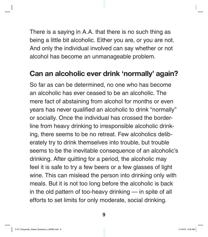There is a saying in A.A. that there is no such thing as being a little bit alcoholic. Either you are, or you are not. And only the individual involved can say whether or not alcohol has become an unmanageable problem.

#### Can an alcoholic ever drink 'normally' again?

So far as can be determined, no one who has become an alcoholic has ever ceased to be an alcoholic. The mere fact of abstaining from alcohol for months or even years has never qualified an alcoholic to drink "normally" or socially. Once the individual has crossed the borderline from heavy drinking to irresponsible alcoholic drinking, there seems to be no retreat. Few alcoholics deliberately try to drink themselves into trouble, but trouble seems to be the inevitable consequence of an alcoholic's drinking. After quitting for a period, the alcoholic may feel it is safe to try a few beers or a few glasses of light wine. This can mislead the person into drinking only with meals. But it is not too long before the alcoholic is back in the old pattern of too-heavy drinking — in spite of all efforts to set limits for only moderate, social drinking.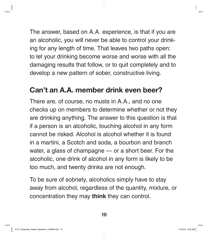The answer, based on A.A. experience, is that if you are an alcoholic, you will never be able to control your drinking for any length of time. That leaves two paths open: to let your drinking become worse and worse with all the damaging results that follow, or to quit completely and to develop a new pattern of sober, constructive living.

#### Can't an A.A. member drink even beer?

There are, of course, no musts in A.A., and no one checks up on members to determine whether or not they are drinking anything. The answer to this question is that if a person is an alcoholic, touching alcohol in any form cannot be risked. Alcohol is alcohol whether it is found in a martini, a Scotch and soda, a bourbon and branch water, a glass of champagne — or a short beer. For the alcoholic, one drink of alcohol in any form is likely to be too much, and twenty drinks are not enough.

To be sure of sobriety, alcoholics simply have to stay away from alcohol, regardless of the quantity, mixture, or concentration they may **think** they can control.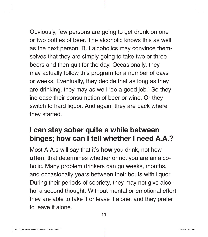Obviously, few persons are going to get drunk on one or two bottles of beer. The alcoholic knows this as well as the next person. But alcoholics may convince themselves that they are simply going to take two or three beers and then quit for the day. Occasionally, they may actually follow this program for a number of days or weeks, Eventually, they decide that as long as they are drinking, they may as well "do a good job." So they increase their consumption of beer or wine. Or they switch to hard liquor. And again, they are back where they started.

#### I can stay sober quite a while between binges; how can I tell whether I need A.A.?

Most A.A.s will say that it's **how** you drink, not how **often**, that determines whether or not you are an alcoholic. Many problem drinkers can go weeks, months, and occasionally years between their bouts with liquor. During their periods of sobriety, they may not give alcohol a second thought. Without mental or emotional effort, they are able to take it or leave it alone, and they prefer to leave it alone.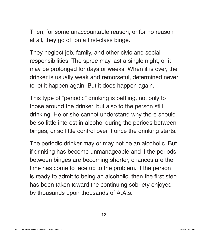Then, for some unaccountable reason, or for no reason at all, they go off on a first-class binge.

They neglect job, family, and other civic and social responsibilities. The spree may last a single night, or it may be prolonged for days or weeks. When it is over, the drinker is usually weak and remorseful, determined never to let it happen again. But it does happen again.

This type of "periodic" drinking is baffling, not only to those around the drinker, but also to the person still drinking. He or she cannot understand why there should be so little interest in alcohol during the periods between binges, or so little control over it once the drinking starts.

The periodic drinker may or may not be an alcoholic. But if drinking has become unmanageable and if the periods between binges are becoming shorter, chances are the time has come to face up to the problem. If the person is ready to admit to being an alcoholic, then the first step has been taken toward the continuing sobriety enjoyed by thousands upon thousands of A.A.s.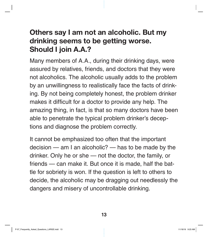#### Others say I am not an alcoholic. But my drinking seems to be getting worse. Should I join A.A.?

Many members of A.A., during their drinking days, were assured by relatives, friends, and doctors that they were not alcoholics. The alcoholic usually adds to the problem by an unwillingness to realistically face the facts of drinking. By not being completely honest, the problem drinker makes it difficult for a doctor to provide any help. The amazing thing, in fact, is that so many doctors have been able to penetrate the typical problem drinker's deceptions and diagnose the problem correctly.

It cannot be emphasized too often that the important decision — am I an alcoholic? — has to be made by the drinker. Only he or she — not the doctor, the family, or friends — can make it. But once it is made, half the battle for sobriety is won. If the question is left to others to decide, the alcoholic may be dragging out needlessly the dangers and misery of uncontrollable drinking.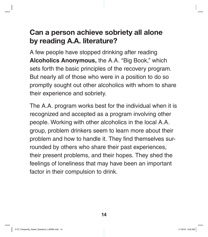#### Can a person achieve sobriety all alone by reading A.A. literature?

A few people have stopped drinking after reading **Alcoholics Anonymous,** the A.A. "Big Book," which sets forth the basic principles of the recovery program. But nearly all of those who were in a position to do so promptly sought out other alcoholics with whom to share their experience and sobriety.

The A.A. program works best for the individual when it is recognized and accepted as a program involving other people. Working with other alcoholics in the local A.A. group, problem drinkers seem to learn more about their problem and how to handle it. They find themselves surrounded by others who share their past experiences, their present problems, and their hopes. They shed the feelings of loneliness that may have been an important factor in their compulsion to drink.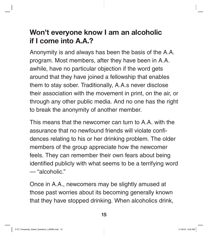#### Won't everyone know I am an alcoholic if I come into A.A.?

Anonymity is and always has been the basis of the A.A. program. Most members, after they have been in A.A. awhile, have no particular objection if the word gets around that they have joined a fellowship that enables them to stay sober. Traditionally, A.A.s never disclose their association with the movement in print, on the air, or through any other public media. And no one has the right to break the anonymity of another member.

This means that the newcomer can turn to A.A. with the assurance that no newfound friends will violate confidences relating to his or her drinking problem. The older members of the group appreciate how the newcomer feels. They can remember their own fears about being identified publicly with what seems to be a terrifying word — "alcoholic."

Once in A.A., newcomers may be slightly amused at those past worries about its becoming generally known that they have stopped drinking. When alcoholics drink,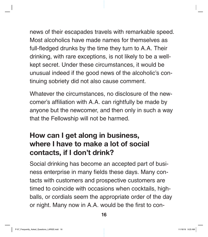news of their escapades travels with remarkable speed. Most alcoholics have made names for themselves as full-fledged drunks by the time they turn to A.A. Their drinking, with rare exceptions, is not likely to be a wellkept secret. Under these circumstances, it would be unusual indeed if the good news of the alcoholic's continuing sobriety did not also cause comment.

Whatever the circumstances, no disclosure of the newcomer's affiliation with A.A. can rightfully be made by anyone but the newcomer, and then only in such a way that the Fellowship will not be harmed.

#### How can I get along in business, where I have to make a lot of social contacts, if I don't drink?

Social drinking has become an accepted part of business enterprise in many fields these days. Many contacts with customers and prospective customers are timed to coincide with occasions when cocktails, highballs, or cordials seem the appropriate order of the day or night. Many now in A.A. would be the first to con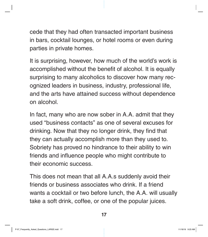cede that they had often transacted important business in bars, cocktail lounges, or hotel rooms or even during parties in private homes.

It is surprising, however, how much of the world's work is accomplished without the benefit of alcohol. It is equally surprising to many alcoholics to discover how many recognized leaders in business, industry, professional life, and the arts have attained success without dependence on alcohol.

In fact, many who are now sober in A.A. admit that they used "business contacts" as one of several excuses for drinking. Now that they no longer drink, they find that they can actually accomplish more than they used to. Sobriety has proved no hindrance to their ability to win friends and influence people who might contribute to their economic success.

This does not mean that all A.A.s suddenly avoid their friends or business associates who drink. If a friend wants a cocktail or two before lunch, the A.A. will usually take a soft drink, coffee, or one of the popular juices.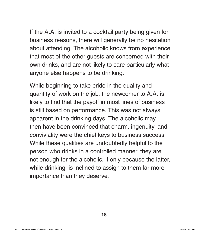If the A.A. is invited to a cocktail party being given for business reasons, there will generally be no hesitation about attending. The alcoholic knows from experience that most of the other guests are concerned with their own drinks, and are not likely to care particularly what anyone else happens to be drinking.

While beginning to take pride in the quality and quantity of work on the job, the newcomer to A.A. is likely to find that the payoff in most lines of business is still based on performance. This was not always apparent in the drinking days. The alcoholic may then have been convinced that charm, ingenuity, and conviviality were the chief keys to business success. While these qualities are undoubtedly helpful to the person who drinks in a controlled manner, they are not enough for the alcoholic, if only because the latter, while drinking, is inclined to assign to them far more importance than they deserve.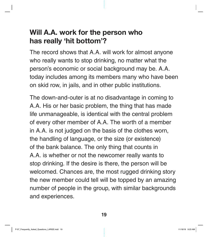#### Will A.A. work for the person who has really 'hit bottom'?

The record shows that A.A. will work for almost anyone who really wants to stop drinking, no matter what the person's economic or social background may be. A.A. today includes among its members many who have been on skid row, in jails, and in other public institutions.

The down-and-outer is at no disadvantage in coming to A.A. His or her basic problem, the thing that has made life unmanageable, is identical with the central problem of every other member of A.A. The worth of a member in A.A. is not judged on the basis of the clothes worn, the handling of language, or the size (or existence) of the bank balance. The only thing that counts in A.A. is whether or not the newcomer really wants to stop drinking. If the desire is there, the person will be welcomed. Chances are, the most rugged drinking story the new member could tell will be topped by an amazing number of people in the group, with similar backgrounds and experiences.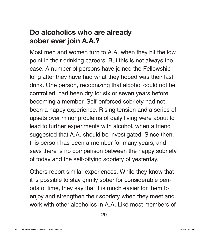#### Do alcoholics who are already sober ever join A.A.?

Most men and women turn to A.A. when they hit the low point in their drinking careers. But this is not always the case. A number of persons have joined the Fellowship long after they have had what they hoped was their last drink. One person, recognizing that alcohol could not be controlled, had been dry for six or seven years before becoming a member. Self-enforced sobriety had not been a happy experience. Rising tension and a series of upsets over minor problems of daily living were about to lead to further experiments with alcohol, when a friend suggested that A.A. should be investigated. Since then, this person has been a member for many years, and says there is no comparison between the happy sobriety of today and the self-pitying sobriety of yesterday.

Others report similar experiences. While they know that it is possible to stay grimly sober for considerable periods of time, they say that it is much easier for them to enjoy and strengthen their sobriety when they meet and work with other alcoholics in A.A. Like most members of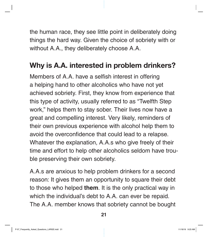the human race, they see little point in deliberately doing things the hard way. Given the choice of sobriety with or without A.A., they deliberately choose A.A.

#### Why is A.A. interested in problem drinkers?

Members of A.A. have a selfish interest in offering a helping hand to other alcoholics who have not yet achieved sobriety. First, they know from experience that this type of activity, usually referred to as "Twelfth Step work," helps them to stay sober. Their lives now have a great and compelling interest. Very likely, reminders of their own previous experience with alcohol help them to avoid the overconfidence that could lead to a relapse. Whatever the explanation, A.A.s who give freely of their time and effort to help other alcoholics seldom have trouble preserving their own sobriety.

A.A.s are anxious to help problem drinkers for a second reason: It gives them an opportunity to square their debt to those who helped **them**. It is the only practical way in which the individual's debt to A.A. can ever be repaid. The A.A. member knows that sobriety cannot be bought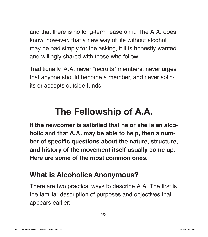and that there is no long-term lease on it. The A.A. does know, however, that a new way of life without alcohol may be had simply for the asking, if it is honestly wanted and willingly shared with those who follow.

Traditionally, A.A. never "recruits" members, never urges that anyone should become a member, and never solicits or accepts outside funds.

## The Fellowship of A.A.

**If the newcomer is satisfied that he or she is an alcoholic and that A.A. may be able to help, then a number of specific questions about the nature, structure, and history of the movement itself usually come up. Here are some of the most common ones.**

#### What is Alcoholics Anonymous?

There are two practical ways to describe A.A. The first is the familiar description of purposes and objectives that appears earlier: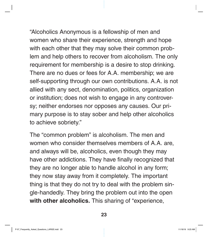"Alcoholics Anonymous is a fellowship of men and women who share their experience, strength and hope with each other that they may solve their common problem and help others to recover from alcoholism. The only requirement for membership is a desire to stop drinking. There are no dues or fees for A.A. membership; we are self-supporting through our own contributions. A.A. is not allied with any sect, denomination, politics, organization or institution; does not wish to engage in any controversy; neither endorses nor opposes any causes. Our primary purpose is to stay sober and help other alcoholics to achieve sobriety."

The "common problem" is alcoholism. The men and women who consider themselves members of A.A. are, and always will be, alcoholics, even though they may have other addictions. They have finally recognized that they are no longer able to handle alcohol in any form; they now stay away from it completely. The important thing is that they do not try to deal with the problem single-handedly. They bring the problem out into the open **with other alcoholics.** This sharing of "experience,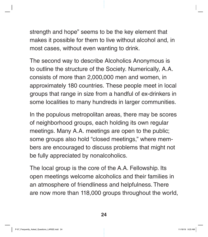strength and hope" seems to be the key element that makes it possible for them to live without alcohol and, in most cases, without even wanting to drink.

The second way to describe Alcoholics Anonymous is to outline the structure of the Society. Numerically, A.A. consists of more than 2,000,000 men and women, in approximately 180 countries. These people meet in local groups that range in size from a handful of ex-drinkers in some localities to many hundreds in larger communities.

In the populous metropolitan areas, there may be scores of neighborhood groups, each holding its own regular meetings. Many A.A. meetings are open to the public; some groups also hold "closed meetings," where members are encouraged to discuss problems that might not be fully appreciated by nonalcoholics.

The local group is the core of the A.A. Fellowship. Its open meetings welcome alcoholics and their families in an atmosphere of friendliness and helpfulness. There are now more than 118,000 groups throughout the world,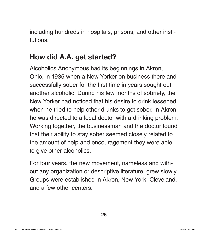including hundreds in hospitals, prisons, and other institutions.

#### How did A.A. get started?

Alcoholics Anonymous had its beginnings in Akron, Ohio, in 1935 when a New Yorker on business there and successfully sober for the first time in years sought out another alcoholic. During his few months of sobriety, the New Yorker had noticed that his desire to drink lessened when he tried to help other drunks to get sober. In Akron, he was directed to a local doctor with a drinking problem. Working together, the businessman and the doctor found that their ability to stay sober seemed closely related to the amount of help and encouragement they were able to give other alcoholics.

For four years, the new movement, nameless and without any organization or descriptive literature, grew slowly. Groups were established in Akron, New York, Cleveland, and a few other centers.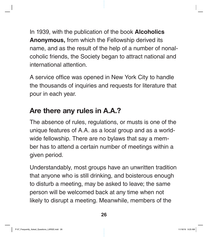In 1939, with the publication of the book **Alcoholics Anonymous,** from which the Fellowship derived its name, and as the result of the help of a number of nonalcoholic friends, the Society began to attract national and international attention.

A service office was opened in New York City to handle the thousands of inquiries and requests for literature that pour in each year.

#### Are there any rules in A.A.?

The absence of rules, regulations, or musts is one of the unique features of A.A. as a local group and as a worldwide fellowship. There are no bylaws that say a member has to attend a certain number of meetings within a given period.

Understandably, most groups have an unwritten tradition that anyone who is still drinking, and boisterous enough to disturb a meeting, may be asked to leave; the same person will be welcomed back at any time when not likely to disrupt a meeting. Meanwhile, members of the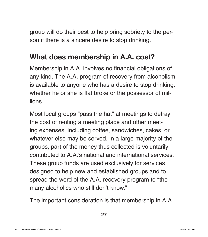group will do their best to help bring sobriety to the person if there is a sincere desire to stop drinking.

#### What does membership in A.A. cost?

Membership in A.A. involves no financial obligations of any kind. The A.A. program of recovery from alcoholism is available to anyone who has a desire to stop drinking, whether he or she is flat broke or the possessor of millions.

Most local groups "pass the hat" at meetings to defray the cost of renting a meeting place and other meeting expenses, including coffee, sandwiches, cakes, or whatever else may be served. In a large majority of the groups, part of the money thus collected is voluntarily contributed to A.A.'s national and international services. These group funds are used exclusively for services designed to help new and established groups and to spread the word of the A.A. recovery program to "the many alcoholics who still don't know."

The important consideration is that membership in A.A.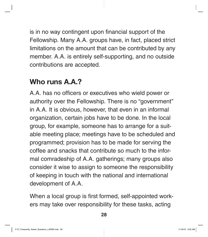is in no way contingent upon financial support of the Fellowship. Many A.A. groups have, in fact, placed strict limitations on the amount that can be contributed by any member. A.A. is entirely self-supporting, and no outside contributions are accepted.

#### Who runs **A.A.?**

A.A. has no officers or executives who wield power or authority over the Fellowship. There is no "government" in A.A. It is obvious, however, that even in an informal organization, certain jobs have to be done. In the local group, for example, someone has to arrange for a suitable meeting place; meetings have to be scheduled and programmed; provision has to be made for serving the coffee and snacks that contribute so much to the informal comradeship of A.A. gatherings; many groups also consider it wise to assign to someone the responsibility of keeping in touch with the national and international development of A.A.

When a local group is first formed, self-appointed workers may take over responsibility for these tasks, acting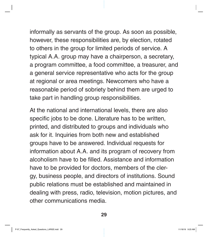informally as servants of the group. As soon as possible, however, these responsibilities are, by election, rotated to others in the group for limited periods of service. A typical A.A. group may have a chairperson, a secretary, a program committee, a food committee, a treasurer, and a general service representative who acts for the group at regional or area meetings. Newcomers who have a reasonable period of sobriety behind them are urged to take part in handling group responsibilities.

At the national and international levels, there are also specific jobs to be done. Literature has to be written, printed, and distributed to groups and individuals who ask for it. Inquiries from both new and established groups have to be answered. Individual requests for information about A.A. and its program of recovery from alcoholism have to be filled. Assistance and information have to be provided for doctors, members of the clergy, business people, and directors of institutions. Sound public relations must be established and maintained in dealing with press, radio, television, motion pictures, and other communications media.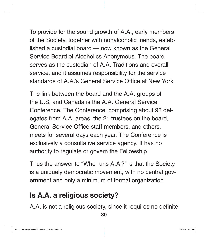To provide for the sound growth of A.A., early members of the Society, together with nonalcoholic friends, established a custodial board — now known as the General Service Board of Alcoholics Anonymous. The board serves as the custodian of A.A. Traditions and overall service, and it assumes responsibility for the service standards of A.A.'s General Service Office at New York.

The link between the board and the A.A. groups of the U.S. and Canada is the A.A. General Service Conference. The Conference, comprising about 93 delegates from A.A. areas, the 21 trustees on the board, General Service Office staff members, and others, meets for several days each year. The Conference is exclusively a consultative service agency. It has no authority to regulate or govern the Fellowship.

Thus the answer to "Who runs A.A.?" is that the Society is a uniquely democratic movement, with no central government and only a minimum of formal organization.

#### Is A.A. a religious society?

A.A. is not a religious society, since it requires no definite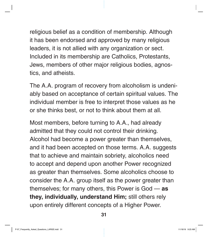religious belief as a condition of membership. Although it has been endorsed and approved by many religious leaders, it is not allied with any organization or sect. Included in its membership are Catholics, Protestants, Jews, members of other major religious bodies, agnostics, and atheists.

The A.A. program of recovery from alcoholism is undeniably based on acceptance of certain spiritual values. The individual member is free to interpret those values as he or she thinks best, or not to think about them at all.

Most members, before turning to A.A., had already admitted that they could not control their drinking. Alcohol had become a power greater than themselves, and it had been accepted on those terms. A.A. suggests that to achieve and maintain sobriety, alcoholics need to accept and depend upon another Power recognized as greater than themselves. Some alcoholics choose to consider the A.A. group itself as the power greater than themselves; for many others, this Power is God — **as they, individually, understand Him;** still others rely upon entirely different concepts of a Higher Power.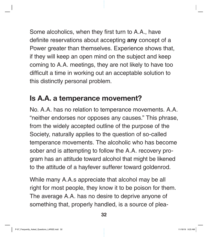Some alcoholics, when they first turn to A.A., have definite reservations about accepting **any** concept of a Power greater than themselves. Experience shows that, if they will keep an open mind on the subject and keep coming to A.A. meetings, they are not likely to have too difficult a time in working out an acceptable solution to this distinctly personal problem.

#### Is A.A. a temperance movement?

No. A.A. has no relation to temperance movements. A.A. "neither endorses nor opposes any causes." This phrase, from the widely accepted outline of the purpose of the Society, naturally applies to the question of so-called temperance movements. The alcoholic who has become sober and is attempting to follow the A.A. recovery program has an attitude toward alcohol that might be likened to the attitude of a hayfever sufferer toward goldenrod.

While many A.A.s appreciate that alcohol may be all right for most people, they know it to be poison for them. The average A.A. has no desire to deprive anyone of something that, properly handled, is a source of plea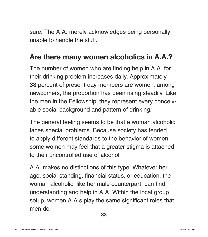sure. The A.A. merely acknowledges being personally unable to handle the stuff.

#### Are there many women alcoholics in A.A.?

The number of women who are finding help in A.A. for their drinking problem increases daily. Approximately 38 percent of present-day members are women; among newcomers, the proportion has been rising steadily. Like the men in the Fellowship, they represent every conceivable social background and pattern of drinking.

The general feeling seems to be that a woman alcoholic faces special problems. Because society has tended to apply different standards to the behavior of women, some women may feel that a greater stigma is attached to their uncontrolled use of alcohol.

A.A. makes no distinctions of this type. Whatever her age, social standing, financial status, or education, the woman alcoholic, like her male counterpart, can find understanding and help in A.A. Within the local group setup, women A.A.s play the same significant roles that men do.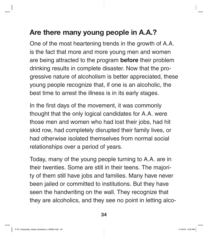### Are there many young people in A.A.?

One of the most heartening trends in the growth of A.A. is the fact that more and more young men and women are being attracted to the program **before** their problem drinking results in complete disaster. Now that the progressive nature of alcoholism is better appreciated, these young people recognize that, if one is an alcoholic, the best time to arrest the illness is in its early stages.

In the first days of the movement, it was commonly thought that the only logical candidates for A.A. were those men and women who had lost their jobs, had hit skid row, had completely disrupted their family lives, or had otherwise isolated themselves from normal social relationships over a period of years.

Today, many of the young people turning to A.A. are in their twenties. Some are still in their teens. The majority of them still have jobs and families. Many have never been jailed or committed to institutions. But they have seen the handwriting on the wall. They recognize that they are alcoholics, and they see no point in letting alco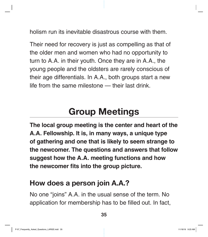holism run its inevitable disastrous course with them.

Their need for recovery is just as compelling as that of the older men and women who had no opportunity to turn to A.A. in their youth. Once they are in A.A., the young people and the oldsters are rarely conscious of their age differentials. In A.A., both groups start a new life from the same milestone — their last drink.

### Group Meetings

**The local group meeting is the center and heart of the A.A. Fellowship. It is, in many ways, a unique type of gathering and one that is likely to seem strange to the newcomer. The questions and answers that follow suggest how the A.A. meeting functions and how the newcomer fits into the group picture.**

#### How does a person join A.A.?

No one "joins" A.A. in the usual sense of the term. No application for membership has to be filled out. In fact,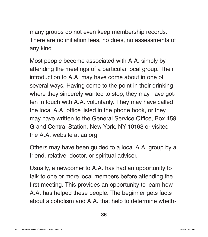many groups do not even keep membership records. There are no initiation fees, no dues, no assessments of any kind.

Most people become associated with A.A. simply by attending the meetings of a particular local group. Their introduction to A.A. may have come about in one of several ways. Having come to the point in their drinking where they sincerely wanted to stop, they may have gotten in touch with A.A. voluntarily. They may have called the local A.A. office listed in the phone book, or they may have written to the General Service Office, Box 459, Grand Central Station, New York, NY 10163 or visited the A.A. website at aa.org.

Others may have been guided to a local A.A. group by a friend, relative, doctor, or spiritual adviser.

Usually, a newcomer to A.A. has had an opportunity to talk to one or more local members before attending the first meeting. This provides an opportunity to learn how A.A. has helped these people. The beginner gets facts about alcoholism and A.A. that help to determine wheth-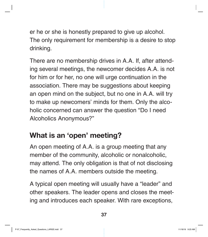er he or she is honestly prepared to give up alcohol. The only requirement for membership is a desire to stop drinking.

There are no membership drives in A.A. If, after attending several meetings, the newcomer decides A.A. is not for him or for her, no one will urge continuation in the association. There may be suggestions about keeping an open mind on the subject, but no one in A.A. will try to make up newcomers' minds for them. Only the alcoholic concerned can answer the question "Do I need Alcoholics Anonymous?"

### What is an 'open' meeting?

An open meeting of A.A. is a group meeting that any member of the community, alcoholic or nonalcoholic, may attend. The only obligation is that of not disclosing the names of A.A. members outside the meeting.

A typical open meeting will usually have a "leader" and other speakers. The leader opens and closes the meeting and introduces each speaker. With rare exceptions,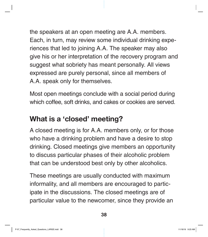the speakers at an open meeting are A.A. members. Each, in turn, may review some individual drinking experiences that led to joining A.A. The speaker may also give his or her interpretation of the recovery program and suggest what sobriety has meant personally. All views expressed are purely personal, since all members of A.A. speak only for themselves.

Most open meetings conclude with a social period during which coffee, soft drinks, and cakes or cookies are served.

### What is a 'closed' meeting?

A closed meeting is for A.A. members only, or for those who have a drinking problem and have a desire to stop drinking. Closed meetings give members an opportunity to discuss particular phases of their alcoholic problem that can be understood best only by other alcoholics.

These meetings are usually conducted with maximum informality, and all members are encouraged to participate in the discussions. The closed meetings are of particular value to the newcomer, since they provide an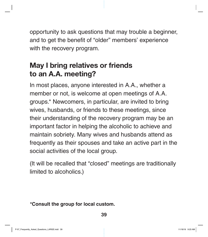opportunity to ask questions that may trouble a beginner, and to get the benefit of "older" members' experience with the recovery program.

## May I bring relatives or friends to an A.A. meeting?

In most places, anyone interested in A.A., whether a member or not, is welcome at open meetings of A.A. groups.\* Newcomers, in particular, are invited to bring wives, husbands, or friends to these meetings, since their understanding of the recovery program may be an important factor in helping the alcoholic to achieve and maintain sobriety. Many wives and husbands attend as frequently as their spouses and take an active part in the social activities of the local group.

(It will be recalled that "closed" meetings are traditionally limited to alcoholics.)

**\*Consult the group for local custom.**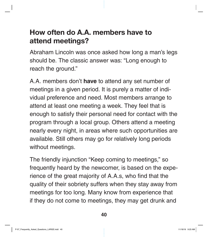## How often do A.A. members have to attend meetings?

Abraham Lincoln was once asked how long a man's legs should be. The classic answer was: "Long enough to reach the ground."

A.A. members don't **have** to attend any set number of meetings in a given period. It is purely a matter of individual preference and need. Most members arrange to attend at least one meeting a week. They feel that is enough to satisfy their personal need for contact with the program through a local group. Others attend a meeting nearly every night, in areas where such opportunities are available. Still others may go for relatively long periods without meetings.

The friendly injunction "Keep coming to meetings," so frequently heard by the newcomer, is based on the experience of the great majority of A.A.s, who find that the quality of their sobriety suffers when they stay away from meetings for too long. Many know from experience that if they do not come to meetings, they may get drunk and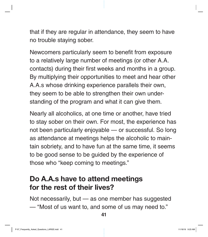that if they are regular in attendance, they seem to have no trouble staying sober.

Newcomers particularly seem to benefit from exposure to a relatively large number of meetings (or other A.A. contacts) during their first weeks and months in a group. By multiplying their opportunities to meet and hear other A.A.s whose drinking experience parallels their own, they seem to be able to strengthen their own understanding of the program and what it can give them.

Nearly all alcoholics, at one time or another, have tried to stay sober on their own. For most, the experience has not been particularly enjoyable — or successful. So long as attendance at meetings helps the alcoholic to maintain sobriety, and to have fun at the same time, it seems to be good sense to be guided by the experience of those who "keep coming to meetings."

#### Do A.A.s have to attend meetings for the rest of their lives?

Not necessarily, but — as one member has suggested — "Most of us want to, and some of us may need to."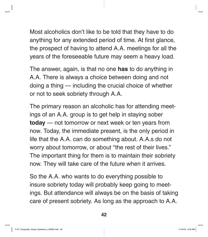Most alcoholics don't like to be told that they have to do anything for any extended period of time. At first glance, the prospect of having to attend A.A. meetings for all the years of the foreseeable future may seem a heavy load.

The answer, again, is that no one **has** to do anything in A.A. There is always a choice between doing and not doing a thing — including the crucial choice of whether or not to seek sobriety through A.A.

The primary reason an alcoholic has for attending meetings of an A.A. group is to get help in staying sober **today** — not tomorrow or next week or ten years from now. Today, the immediate present, is the only period in life that the A.A. can do something about. A.A.s do not worry about tomorrow, or about "the rest of their lives." The important thing for them is to maintain their sobriety now. They will take care of the future when it arrives.

So the A.A. who wants to do everything possible to insure sobriety today will probably keep going to meetings. But attendance will always be on the basis of taking care of present sobriety. As long as the approach to A.A.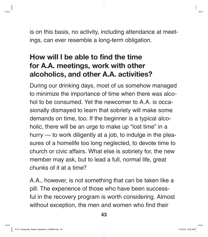is on this basis, no activity, including attendance at meetings, can ever resemble a long-term obligation.

## How will I be able to find the time for A.A. meetings, work with other alcoholics, and other A.A. activities?

During our drinking days, most of us somehow managed to minimize the importance of time when there was alcohol to be consumed. Yet the newcomer to A.A. is occasionally dismayed to learn that sobriety will make some demands on time, too. If the beginner is a typical alcoholic, there will be an urge to make up "lost time" in a hurry — to work diligently at a job, to indulge in the pleasures of a homelife too long neglected, to devote time to church or civic affairs. What else is sobriety for, the new member may ask, but to lead a full, normal life, great chunks of it at a time?

A.A., however, is not something that can be taken like a pill. The experience of those who have been successful in the recovery program is worth considering. Almost without exception, the men and women who find their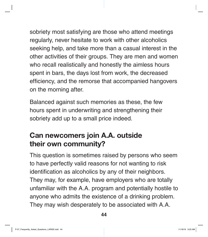sobriety most satisfying are those who attend meetings regularly, never hesitate to work with other alcoholics seeking help, and take more than a casual interest in the other activities of their groups. They are men and women who recall realistically and honestly the aimless hours spent in bars, the days lost from work, the decreased efficiency, and the remorse that accompanied hangovers on the morning after.

Balanced against such memories as these, the few hours spent in underwriting and strengthening their sobriety add up to a small price indeed.

## Can newcomers join A.A. outside their own community?

This question is sometimes raised by persons who seem to have perfectly valid reasons for not wanting to risk identification as alcoholics by any of their neighbors. They may, for example, have employers who are totally unfamiliar with the A.A. program and potentially hostile to anyone who admits the existence of a drinking problem. They may wish desperately to be associated with A.A.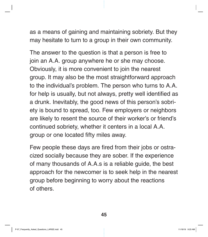as a means of gaining and maintaining sobriety. But they may hesitate to turn to a group in their own community.

The answer to the question is that a person is free to join an A.A. group anywhere he or she may choose. Obviously, it is more convenient to join the nearest group. It may also be the most straightforward approach to the individual's problem. The person who turns to A.A. for help is usually, but not always, pretty well identified as a drunk. Inevitably, the good news of this person's sobriety is bound to spread, too. Few employers or neighbors are likely to resent the source of their worker's or friend's continued sobriety, whether it centers in a local A.A. group or one located fifty miles away.

Few people these days are fired from their jobs or ostracized socially because they are sober. If the experience of many thousands of A.A.s is a reliable guide, the best approach for the newcomer is to seek help in the nearest group before beginning to worry about the reactions of others.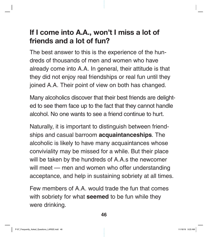## If I come into A.A., won't I miss a lot of friends and a lot of fun?

The best answer to this is the experience of the hundreds of thousands of men and women who have already come into A.A. In general, their attitude is that they did not enjoy real friendships or real fun until they joined A.A. Their point of view on both has changed.

Many alcoholics discover that their best friends are delighted to see them face up to the fact that they cannot handle alcohol. No one wants to see a friend continue to hurt.

Naturally, it is important to distinguish between friendships and casual barroom **acquaintanceships**. The alcoholic is likely to have many acquaintances whose conviviality may be missed for a while. But their place will be taken by the hundreds of A.A.s the newcomer will meet — men and women who offer understanding acceptance, and help in sustaining sobriety at all times.

Few members of A.A. would trade the fun that comes with sobriety for what **seemed** to be fun while they were drinking.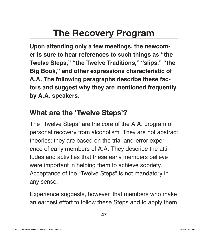# The Recovery Program

**Upon attending only a few meetings, the newcomer is sure to hear references to such things as "the Twelve Steps," "the Twelve Traditions," "slips," "the Big Book," and other expressions characteristic of A.A. The following paragraphs describe these factors and suggest why they are mentioned frequently by A.A. speakers.**

#### What are the 'Twelve Steps'?

The "Twelve Steps" are the core of the A.A. program of personal recovery from alcoholism. They are not abstract theories; they are based on the trial-and-error experience of early members of A.A. They describe the attitudes and activities that these early members believe were important in helping them to achieve sobriety. Acceptance of the "Twelve Steps" is not mandatory in any sense.

Experience suggests, however, that members who make an earnest effort to follow these Steps and to apply them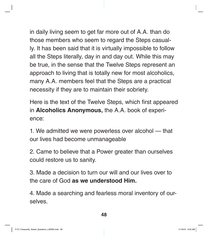in daily living seem to get far more out of A.A. than do those members who seem to regard the Steps casually. It has been said that it is virtually impossible to follow all the Steps literally, day in and day out. While this may be true, in the sense that the Twelve Steps represent an approach to living that is totally new for most alcoholics, many A.A. members feel that the Steps are a practical necessity if they are to maintain their sobriety.

Here is the text of the Twelve Steps, which first appeared in **Alcoholics Anonymous,** the A.A. book of experience:

1. We admitted we were powerless over alcohol — that our lives had become unmanageable

2. Came to believe that a Power greater than ourselves could restore us to sanity.

3. Made a decision to turn our will and our lives over to the care of God **as we understood Him.**

4. Made a searching and fearless moral inventory of ourselves.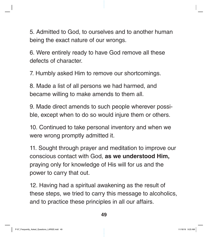5. Admitted to God, to ourselves and to another human being the exact nature of our wrongs.

6. Were entirely ready to have God remove all these defects of character.

7. Humbly asked Him to remove our shortcomings.

8. Made a list of all persons we had harmed, and became willing to make amends to them all.

9. Made direct amends to such people wherever possible, except when to do so would injure them or others.

10. Continued to take personal inventory and when we were wrong promptly admitted it.

11. Sought through prayer and meditation to improve our conscious contact with God, **as we understood Him,**  praying only for knowledge of His will for us and the power to carry that out.

12. Having had a spiritual awakening as the result of these steps, we tried to carry this message to alcoholics, and to practice these principles in all our affairs.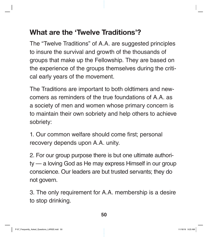## What are the 'Twelve Traditions'?

The "Twelve Traditions" of A.A. are suggested principles to insure the survival and growth of the thousands of groups that make up the Fellowship. They are based on the experience of the groups themselves during the critical early years of the movement.

The Traditions are important to both oldtimers and newcomers as reminders of the true foundations of A.A. as a society of men and women whose primary concern is to maintain their own sobriety and help others to achieve sobriety:

1. Our common welfare should come first; personal recovery depends upon A.A. unity.

2. For our group purpose there is but one ultimate authority — a loving God as He may express Himself in our group conscience. Our leaders are but trusted servants; they do not govern.

3. The only requirement for A.A. membership is a desire to stop drinking.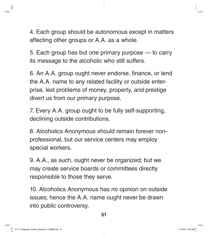4. Each group should be autonomous except in matters affecting other groups or A.A. as a whole.

5. Each group has but one primary purpose — to carry its message to the alcoholic who still suffers.

6. An A.A. group ought never endorse, finance, or lend the A.A. name to any related facility or outside enterprise, lest problems of money, property, and prestige divert us from our primary purpose.

7. Every A.A. group ought to be fully self-supporting, declining outside contributions.

8. Alcoholics Anonymous should remain forever nonprofessional, but our service centers may employ special workers.

9. A.A., as such, ought never be organized; but we may create service boards or committees directly responsible to those they serve.

10. Alcoholics Anonymous has no opinion on outside issues; hence the A.A. name ought never be drawn into public controversy.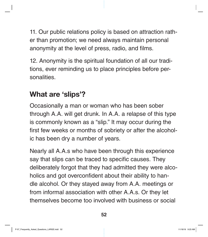11. Our public relations policy is based on attraction rather than promotion; we need always maintain personal anonymity at the level of press, radio, and films.

12. Anonymity is the spiritual foundation of all our traditions, ever reminding us to place principles before personalities.

#### What are 'slips'?

Occasionally a man or woman who has been sober through A.A. will get drunk. In A.A. a relapse of this type is commonly known as a "slip." It may occur during the first few weeks or months of sobriety or after the alcoholic has been dry a number of years.

Nearly all A.A.s who have been through this experience say that slips can be traced to specific causes. They deliberately forgot that they had admitted they were alcoholics and got overconfident about their ability to handle alcohol. Or they stayed away from A.A. meetings or from informal association with other A.A.s. Or they let themselves become too involved with business or social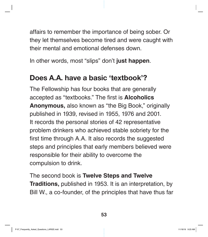affairs to remember the importance of being sober. Or they let themselves become tired and were caught with their mental and emotional defenses down.

In other words, most "slips" don't **just happen**.

#### Does A.A. have a basic 'textbook'?

The Fellowship has four books that are generally accepted as "textbooks." The first is **Alcoholics Anonymous,** also known as "the Big Book," originally published in 1939, revised in 1955, 1976 and 2001. It records the personal stories of 42 representative problem drinkers who achieved stable sobriety for the first time through A.A. It also records the suggested steps and principles that early members believed were responsible for their ability to overcome the compulsion to drink.

The second book is **Twelve Steps and Twelve Traditions,** published in 1953. It is an interpretation, by Bill W., a co-founder, of the principles that have thus far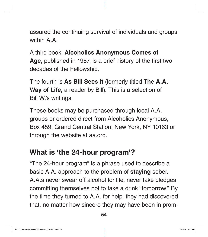assured the continuing survival of individuals and groups within A.A.

A third book, **Alcoholics Anonymous Comes of Age,** published in 1957, is a brief history of the first two decades of the Fellowship.

The fourth is **As Bill Sees It** (formerly titled **The A.A. Way of Life,** a reader by Bill). This is a selection of Bill W.'s writings.

These books may be purchased through local A.A. groups or ordered direct from Alcoholics Anonymous, Box 459, Grand Central Station, New York, NY 10163 or through the website at aa.org.

#### What is 'the 24-hour program'?

"The 24-hour program" is a phrase used to describe a basic A.A. approach to the problem of **staying** sober. A.A.s never swear off alcohol for life, never take pledges committing themselves not to take a drink "tomorrow." By the time they turned to A.A. for help, they had discovered that, no matter how sincere they may have been in prom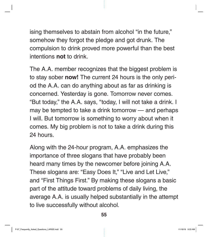ising themselves to abstain from alcohol "in the future," somehow they forgot the pledge and got drunk. The compulsion to drink proved more powerful than the best intentions **not** to drink.

The A.A. member recognizes that the biggest problem is to stay sober **now!** The current 24 hours is the only period the A.A. can do anything about as far as drinking is concerned. Yesterday is gone. Tomorrow never comes. "But today," the A.A. says, "today, I will not take a drink. I may be tempted to take a drink tomorrow — and perhaps I will. But tomorrow is something to worry about when it comes. My big problem is not to take a drink during this 24 hours.

Along with the 24-hour program, A.A. emphasizes the importance of three slogans that have probably been heard many times by the newcomer before joining A.A. These slogans are: "Easy Does It," "Live and Let Live," and "First Things First." By making these slogans a basic part of the attitude toward problems of daily living, the average A.A. is usually helped substantially in the attempt to live successfully without alcohol.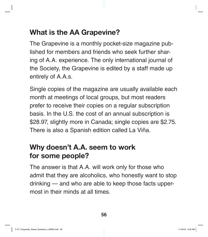## What is the AA Grapevine?

The Grapevine is a monthly pocket-size magazine published for members and friends who seek further sharing of A.A. experience. The only international journal of the Society, the Grapevine is edited by a staff made up entirely of A.A.s.

Single copies of the magazine are usually available each month at meetings of local groups, but most readers prefer to receive their copies on a regular subscription basis. In the U.S. the cost of an annual subscription is \$28.97, slightly more in Canada; single copies are \$2.75. There is also a Spanish edition called La Viña.

#### Why doesn't A.A. seem to work for some people?

The answer is that A.A. will work only for those who admit that they are alcoholics, who honestly want to stop drinking — and who are able to keep those facts uppermost in their minds at all times.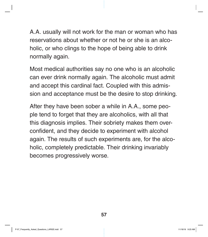A.A. usually will not work for the man or woman who has reservations about whether or not he or she is an alcoholic, or who clings to the hope of being able to drink normally again.

Most medical authorities say no one who is an alcoholic can ever drink normally again. The alcoholic must admit and accept this cardinal fact. Coupled with this admission and acceptance must be the desire to stop drinking.

After they have been sober a while in A.A., some people tend to forget that they are alcoholics, with all that this diagnosis implies. Their sobriety makes them overconfident, and they decide to experiment with alcohol again. The results of such experiments are, for the alcoholic, completely predictable. Their drinking invariably becomes progressively worse.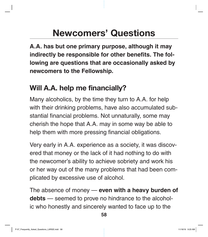# Newcomers' Questions

**A.A. has but one primary purpose, although it may indirectly be responsible for other benefits. The following are questions that are occasionally asked by newcomers to the Fellowship.**

### Will A.A. help me financially?

Many alcoholics, by the time they turn to A.A. for help with their drinking problems, have also accumulated substantial financial problems. Not unnaturally, some may cherish the hope that A.A. may in some way be able to help them with more pressing financial obligations.

Very early in A.A. experience as a society, it was discovered that money or the lack of it had nothing to do with the newcomer's ability to achieve sobriety and work his or her way out of the many problems that had been complicated by excessive use of alcohol.

The absence of money — **even with a heavy burden of debts** — seemed to prove no hindrance to the alcoholic who honestly and sincerely wanted to face up to the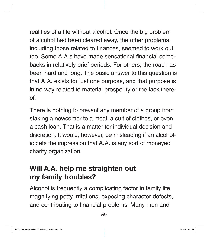realities of a life without alcohol. Once the big problem of alcohol had been cleared away, the other problems, including those related to finances, seemed to work out, too. Some A.A.s have made sensational financial comebacks in relatively brief periods. For others, the road has been hard and long. The basic answer to this question is that A.A. exists for just one purpose, and that purpose is in no way related to material prosperity or the lack thereof.

There is nothing to prevent any member of a group from staking a newcomer to a meal, a suit of clothes, or even a cash loan. That is a matter for individual decision and discretion. It would, however, be misleading if an alcoholic gets the impression that A.A. is any sort of moneyed charity organization.

#### Will A.A. help me straighten out my family troubles?

Alcohol is frequently a complicating factor in family life, magnifying petty irritations, exposing character defects, and contributing to financial problems. Many men and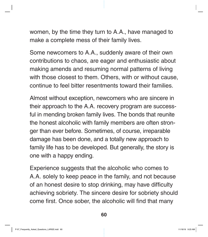women, by the time they turn to A.A., have managed to make a complete mess of their family lives.

Some newcomers to A.A., suddenly aware of their own contributions to chaos, are eager and enthusiastic about making amends and resuming normal patterns of living with those closest to them. Others, with or without cause, continue to feel bitter resentments toward their families.

Almost without exception, newcomers who are sincere in their approach to the A.A. recovery program are successful in mending broken family lives. The bonds that reunite the honest alcoholic with family members are often stronger than ever before. Sometimes, of course, irreparable damage has been done, and a totally new approach to family life has to be developed. But generally, the story is one with a happy ending.

Experience suggests that the alcoholic who comes to A.A. solely to keep peace in the family, and not because of an honest desire to stop drinking, may have difficulty achieving sobriety. The sincere desire for sobriety should come first. Once sober, the alcoholic will find that many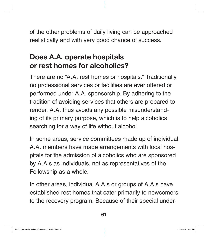of the other problems of daily living can be approached realistically and with very good chance of success.

## Does A.A. operate hospitals or rest homes for alcoholics?

There are no "A.A. rest homes or hospitals." Traditionally, no professional services or facilities are ever offered or performed under A.A. sponsorship. By adhering to the tradition of avoiding services that others are prepared to render, A.A. thus avoids any possible misunderstanding of its primary purpose, which is to help alcoholics searching for a way of life without alcohol.

In some areas, service committees made up of individual A.A. members have made arrangements with local hospitals for the admission of alcoholics who are sponsored by A.A.s as individuals, not as representatives of the Fellowship as a whole.

In other areas, individual A.A.s or groups of A.A.s have established rest homes that cater primarily to newcomers to the recovery program. Because of their special under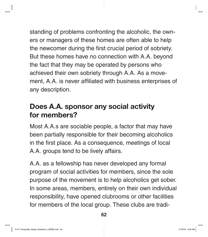standing of problems confronting the alcoholic, the owners or managers of these homes are often able to help the newcomer during the first crucial period of sobriety. But these homes have no connection with A.A. beyond the fact that they may be operated by persons who achieved their own sobriety through A.A. As a movement, A.A. is never affiliated with business enterprises of any description.

#### Does A.A. sponsor any social activity for members?

Most A.A.s are sociable people, a factor that may have been partially responsible for their becoming alcoholics in the first place. As a consequence, meetings of local A.A. groups tend to be lively affairs.

A.A. as a fellowship has never developed any formal program of social activities for members, since the sole purpose of the movement is to help alcoholics get sober. In some areas, members, entirely on their own individual responsibility, have opened clubrooms or other facilities for members of the local group. These clubs are tradi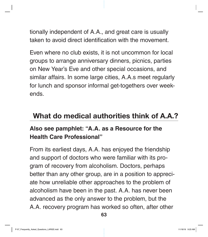tionally independent of A.A., and great care is usually taken to avoid direct identification with the movement.

Even where no club exists, it is not uncommon for local groups to arrange anniversary dinners, picnics, parties on New Year's Eve and other special occasions, and similar affairs. In some large cities, A.A.s meet regularly for lunch and sponsor informal get-togethers over weekends.

#### What do medical authorities think of A.A.?

#### **Also see pamphlet: "A.A. as a Resource for the Health Care Professional"**

From its earliest days, A.A. has enjoyed the friendship and support of doctors who were familiar with its program of recovery from alcoholism. Doctors, perhaps better than any other group, are in a position to appreciate how unreliable other approaches to the problem of alcoholism have been in the past. A.A. has never been advanced as the only answer to the problem, but the A.A. recovery program has worked so often, after other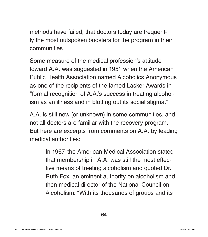methods have failed, that doctors today are frequently the most outspoken boosters for the program in their communities.

Some measure of the medical profession's attitude toward A.A. was suggested in 1951 when the American Public Health Association named Alcoholics Anonymous as one of the recipients of the famed Lasker Awards in "formal recognition of A.A.'s success in treating alcoholism as an illness and in blotting out its social stigma."

A.A. is still new (or unknown) in some communities, and not all doctors are familiar with the recovery program. But here are excerpts from comments on A.A. by leading medical authorities:

> In 1967, the American Medical Association stated that membership in A.A. was still the most effective means of treating alcoholism and quoted Dr. Ruth Fox, an eminent authority on alcoholism and then medical director of the National Council on Alcoholism: "With its thousands of groups and its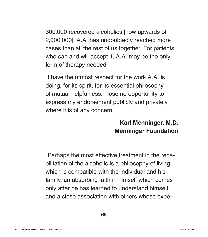300,000 recovered alcoholics [now upwards of 2,000,000], A.A. has undoubtedly reached more cases than all the rest of us together. For patients who can and will accept it, A.A. may be the only form of therapy needed."

"I have the utmost respect for the work A.A. is doing, for its spirit, for its essential philosophy of mutual helpfulness. I lose no opportunity to express my endorsement publicly and privately where it is of any concern."

#### **Karl Menninger, M.D. Menninger Foundation**

"Perhaps the most effective treatment in the rehabilitation of the alcoholic is a philosophy of living which is compatible with the individual and his family, an absorbing faith in himself which comes only after he has learned to understand himself, and a close association with others whose expe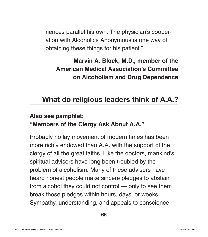riences parallel his own. The physician's cooperation with Alcoholics Anonymous is one way of obtaining these things for his patient."

**Marvin A. Block, M.D., member of the American Medical Association's Committee on Alcoholism and Drug Dependence**

## What do religious leaders think of A.A.?

#### **Also see pamphlet:**

#### **"Members of the Clergy Ask About A.A."**

Probably no lay movement of modern times has been more richly endowed than A.A. with the support of the clergy of all the great faiths. Like the doctors, mankind's spiritual advisers have long been troubled by the problem of alcoholism. Many of these advisers have heard honest people make sincere pledges to abstain from alcohol they could not control — only to see them break those pledges within hours, days, or weeks. Sympathy, understanding, and appeals to conscience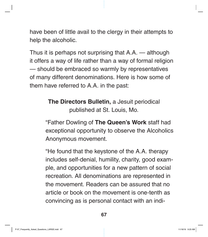have been of little avail to the clergy in their attempts to help the alcoholic.

Thus it is perhaps not surprising that A.A. — although it offers a way of life rather than a way of formal religion — should be embraced so warmly by representatives of many different denominations. Here is how some of them have referred to A.A. in the past:

> **The Directors Bulletin,** a Jesuit periodical published at St. Louis, Mo.

"Father Dowling of **The Queen's Work** staff had exceptional opportunity to observe the Alcoholics Anonymous movement.

"He found that the keystone of the A.A. therapy includes self-denial, humility, charity, good example, and opportunities for a new pattern of social recreation. All denominations are represented in the movement. Readers can be assured that no article or book on the movement is one-tenth as convincing as is personal contact with an indi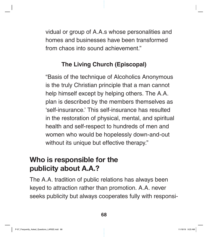vidual or group of A.A.s whose personalities and homes and businesses have been transformed from chaos into sound achievement."

#### **The Living Church (Episcopal)**

"Basis of the technique of Alcoholics Anonymous is the truly Christian principle that a man cannot help himself except by helping others. The A.A. plan is described by the members themselves as 'self-insurance.' This self-insurance has resulted in the restoration of physical, mental, and spiritual health and self-respect to hundreds of men and women who would be hopelessly down-and-out without its unique but effective therapy."

### Who is responsible for the publicity about A.A.?

The A.A. tradition of public relations has always been keyed to attraction rather than promotion. A.A. never seeks publicity but always cooperates fully with responsi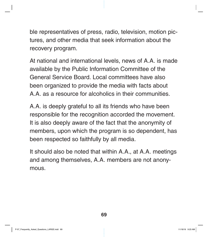ble representatives of press, radio, television, motion pictures, and other media that seek information about the recovery program.

At national and international levels, news of A.A. is made available by the Public Information Committee of the General Service Board. Local committees have also been organized to provide the media with facts about A.A. as a resource for alcoholics in their communities.

A.A. is deeply grateful to all its friends who have been responsible for the recognition accorded the movement. It is also deeply aware of the fact that the anonymity of members, upon which the program is so dependent, has been respected so faithfully by all media.

It should also be noted that within A.A., at A.A. meetings and among themselves, A.A. members are not anonymous.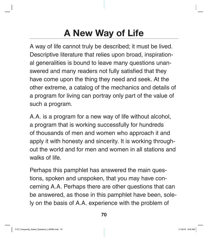# A New Way of Life

A way of life cannot truly be described; it must be lived. Descriptive literature that relies upon broad, inspirational generalities is bound to leave many questions unanswered and many readers not fully satisfied that they have come upon the thing they need and seek. At the other extreme, a catalog of the mechanics and details of a program for living can portray only part of the value of such a program.

A.A. is a program for a new way of life without alcohol, a program that is working successfully for hundreds of thousands of men and women who approach it and apply it with honesty and sincerity. It is working throughout the world and for men and women in all stations and walks of life.

Perhaps this pamphlet has answered the main questions, spoken and unspoken, that you may have concerning A.A. Perhaps there are other questions that can be answered, as those in this pamphlet have been, solely on the basis of A.A. experience with the problem of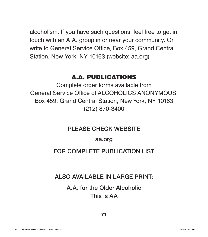alcoholism. If you have such questions, feel free to get in touch with an A.A. group in or near your community. Or write to General Service Office, Box 459, Grand Central Station, New York, NY 10163 (website: aa.org).

#### A.A. PUBLICATIONS

Complete order forms available from General Service Office of ALCOHOLICS ANONYMOUS, Box 459, Grand Central Station, New York, NY 10163 (212) 870-3400

#### PLEASE CHECK WEBSITE

#### aa.org

#### FOR COMPLETE PUBLICATION LIST

#### ALSO AVAILABLE IN LARGE PRINT:

A.A. for the Older Alcoholic This is AA